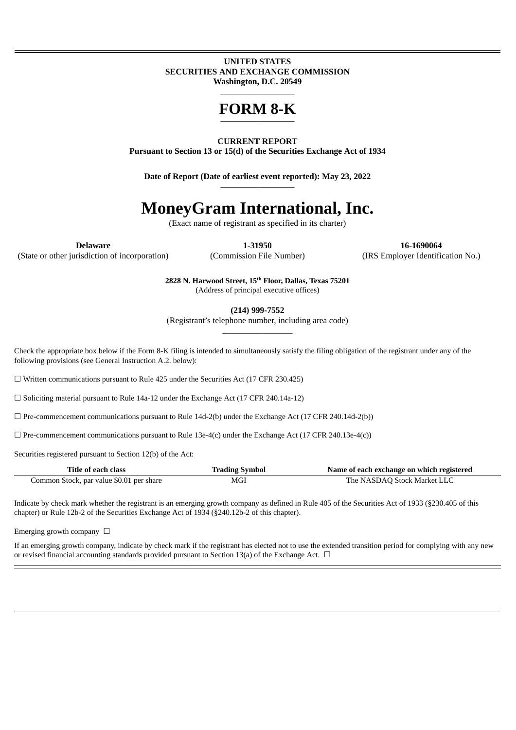**UNITED STATES SECURITIES AND EXCHANGE COMMISSION Washington, D.C. 20549**

# **FORM 8-K** \_\_\_\_\_\_\_\_\_\_\_\_\_\_\_\_\_\_\_

 $\_$ 

**CURRENT REPORT Pursuant to Section 13 or 15(d) of the Securities Exchange Act of 1934**

**Date of Report (Date of earliest event reported): May 23, 2022** \_\_\_\_\_\_\_\_\_\_\_\_\_\_\_\_\_\_\_

# **MoneyGram International, Inc.**

(Exact name of registrant as specified in its charter)

(State or other jurisdiction of incorporation) (Commission File Number) (IRS Employer Identification No.)

**Delaware 1-31950 16-1690064**

**2828 N. Harwood Street, 15 Floor, Dallas, Texas 75201 th**(Address of principal executive offices)

**(214) 999-7552**

(Registrant's telephone number, including area code) \_\_\_\_\_\_\_\_\_\_\_\_\_\_\_\_\_\_

Check the appropriate box below if the Form 8-K filing is intended to simultaneously satisfy the filing obligation of the registrant under any of the following provisions (see General Instruction A.2. below):

☐ Written communications pursuant to Rule 425 under the Securities Act (17 CFR 230.425)

☐ Soliciting material pursuant to Rule 14a-12 under the Exchange Act (17 CFR 240.14a-12)

 $\Box$  Pre-commencement communications pursuant to Rule 14d-2(b) under the Exchange Act (17 CFR 240.14d-2(b))

 $\Box$  Pre-commencement communications pursuant to Rule 13e-4(c) under the Exchange Act (17 CFR 240.13e-4(c))

Securities registered pursuant to Section 12(b) of the Act:

| Title of each class                      | <b>Trading Symbol</b> | Name of each exchange on which registered |
|------------------------------------------|-----------------------|-------------------------------------------|
| Common Stock, par value \$0.01 per share | MGI                   | The NASDAO Stock Market LLC               |

Indicate by check mark whether the registrant is an emerging growth company as defined in Rule 405 of the Securities Act of 1933 (§230.405 of this chapter) or Rule 12b-2 of the Securities Exchange Act of 1934 (§240.12b-2 of this chapter).

Emerging growth company  $\Box$ 

If an emerging growth company, indicate by check mark if the registrant has elected not to use the extended transition period for complying with any new or revised financial accounting standards provided pursuant to Section 13(a) of the Exchange Act.  $\Box$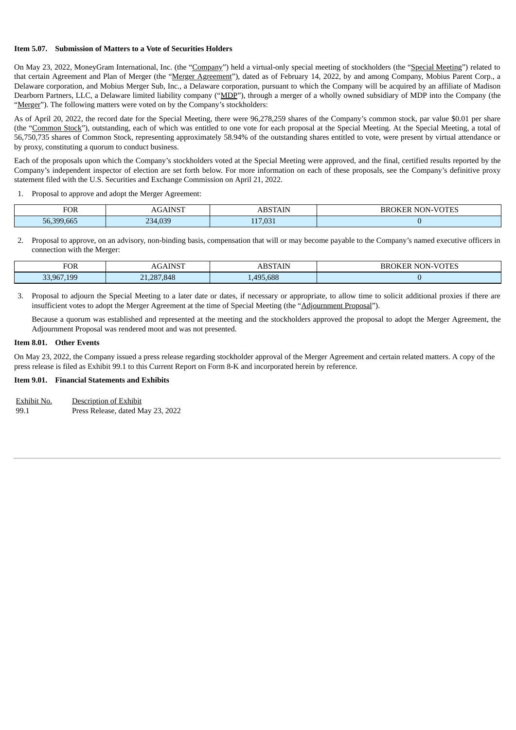## **Item 5.07. Submission of Matters to a Vote of Securities Holders**

On May 23, 2022, MoneyGram International, Inc. (the "Company") held a virtual-only special meeting of stockholders (the "Special Meeting") related to that certain Agreement and Plan of Merger (the "Merger Agreement"), dated as of February 14, 2022, by and among Company, Mobius Parent Corp., a Delaware corporation, and Mobius Merger Sub, Inc., a Delaware corporation, pursuant to which the Company will be acquired by an affiliate of Madison Dearborn Partners, LLC, a Delaware limited liability company ("MDP"), through a merger of a wholly owned subsidiary of MDP into the Company (the "Merger"). The following matters were voted on by the Company's stockholders:

As of April 20, 2022, the record date for the Special Meeting, there were 96,278,259 shares of the Company's common stock, par value \$0.01 per share (the "Common Stock"), outstanding, each of which was entitled to one vote for each proposal at the Special Meeting. At the Special Meeting, a total of 56,750,735 shares of Common Stock, representing approximately 58.94% of the outstanding shares entitled to vote, were present by virtual attendance or by proxy, constituting a quorum to conduct business.

Each of the proposals upon which the Company's stockholders voted at the Special Meeting were approved, and the final, certified results reported by the Company's independent inspector of election are set forth below. For more information on each of these proposals, see the Company's definitive proxy statement filed with the U.S. Securities and Exchange Commission on April 21, 2022.

1. Proposal to approve and adopt the Merger Agreement:

| <sup>7</sup> OR<br>_____ | TCT                                 | <b>TK</b>                              | T<br>۱ĸ<br>мı<br>≺∺<br>ىىت<br>the contract of the contract of the contract of the contract of the contract of the contract of the contract of |
|--------------------------|-------------------------------------|----------------------------------------|-----------------------------------------------------------------------------------------------------------------------------------------------|
| 56.399<br>$\sqrt{2}$     | <b>U30</b><br>34 I<br>7.UJ.<br>$-0$ | ---<br>$\overline{\phantom{a}}$<br>. . |                                                                                                                                               |

2. Proposal to approve, on an advisory, non-binding basis, compensation that will or may become payable to the Company's named executive officers in connection with the Merger:

| FOR    | TO <b>T</b><br>ניטור | 5.73 | <b>NON-VOTES</b> |
|--------|----------------------|------|------------------|
| 33.967 | .287.848             | .688 |                  |
| 199    | $-1$                 | 195  |                  |

3. Proposal to adjourn the Special Meeting to a later date or dates, if necessary or appropriate, to allow time to solicit additional proxies if there are insufficient votes to adopt the Merger Agreement at the time of Special Meeting (the "Adjournment Proposal").

Because a quorum was established and represented at the meeting and the stockholders approved the proposal to adopt the Merger Agreement, the Adjournment Proposal was rendered moot and was not presented.

## **Item 8.01. Other Events**

On May 23, 2022, the Company issued a press release regarding stockholder approval of the Merger Agreement and certain related matters. A copy of the press release is filed as Exhibit 99.1 to this Current Report on Form 8-K and incorporated herein by reference.

## **Item 9.01. Financial Statements and Exhibits**

| Exhibit No. | Description of Exhibit            |
|-------------|-----------------------------------|
| 99.1        | Press Release, dated May 23, 2022 |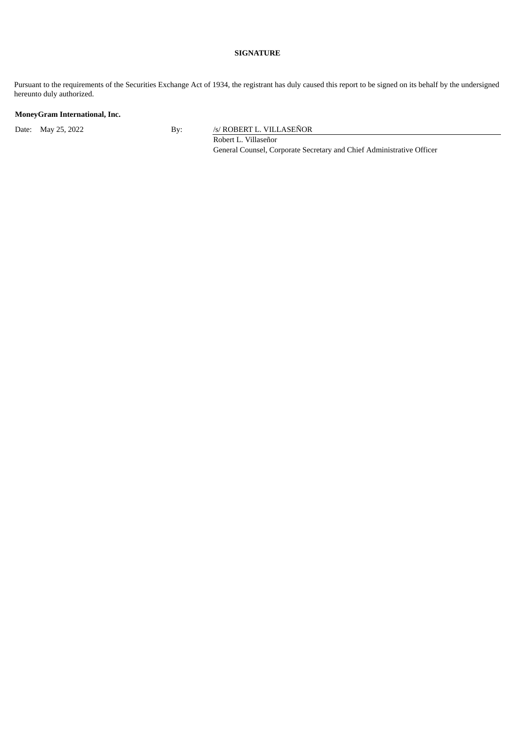## **SIGNATURE**

Pursuant to the requirements of the Securities Exchange Act of 1934, the registrant has duly caused this report to be signed on its behalf by the undersigned hereunto duly authorized.

## **MoneyGram International, Inc.**

Date: May 25, 2022 By: /s/ ROBERT L. VILLASEÑOR

Robert L. Villaseñor General Counsel, Corporate Secretary and Chief Administrative Officer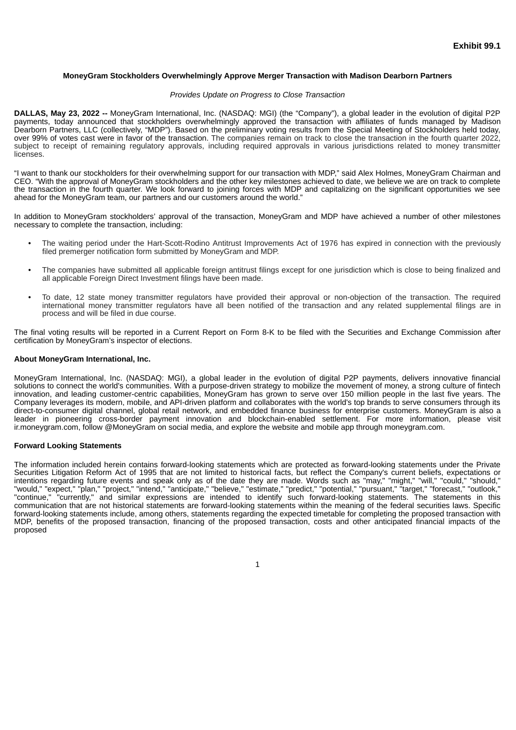## <span id="page-3-0"></span>**MoneyGram Stockholders Overwhelmingly Approve Merger Transaction with Madison Dearborn Partners**

#### *Provides Update on Progress to Close Transaction*

**DALLAS, May 23, 2022 --** MoneyGram International, Inc. (NASDAQ: MGI) (the "Company"), a global leader in the evolution of digital P2P payments, today announced that stockholders overwhelmingly approved the transaction with affiliates of funds managed by Madison Dearborn Partners, LLC (collectively, "MDP"). Based on the preliminary voting results from the Special Meeting of Stockholders held today, over 99% of votes cast were in favor of the transaction. The companies remain on track to close the transaction in the fourth quarter 2022, subject to receipt of remaining regulatory approvals, including required approvals in various jurisdictions related to money transmitter licenses.

"I want to thank our stockholders for their overwhelming support for our transaction with MDP," said Alex Holmes, MoneyGram Chairman and CEO. "With the approval of MoneyGram stockholders and the other key milestones achieved to date, we believe we are on track to complete the transaction in the fourth quarter. We look forward to joining forces with MDP and capitalizing on the significant opportunities we see ahead for the MoneyGram team, our partners and our customers around the world."

In addition to MoneyGram stockholders' approval of the transaction, MoneyGram and MDP have achieved a number of other milestones necessary to complete the transaction, including:

- The waiting period under the Hart-Scott-Rodino Antitrust Improvements Act of 1976 has expired in connection with the previously filed premerger notification form submitted by MoneyGram and MDP.
- The companies have submitted all applicable foreign antitrust filings except for one jurisdiction which is close to being finalized and all applicable Foreign Direct Investment filings have been made.
- To date, 12 state money transmitter regulators have provided their approval or non-objection of the transaction. The required international money transmitter regulators have all been notified of the transaction and any related supplemental filings are in process and will be filed in due course.

The final voting results will be reported in a Current Report on Form 8-K to be filed with the Securities and Exchange Commission after certification by MoneyGram's inspector of elections.

## **About MoneyGram International, Inc.**

MoneyGram International, Inc. (NASDAQ: MGI), a global leader in the evolution of digital P2P payments, delivers innovative financial solutions to connect the world's communities. With a purpose-driven strategy to mobilize the movement of money, a strong culture of fintech innovation, and leading customer-centric capabilities, MoneyGram has grown to serve over 150 million people in the last five years. The Company leverages its modern, mobile, and API-driven platform and collaborates with the world's top brands to serve consumers through its direct-to-consumer digital channel, global retail network, and embedded finance business for enterprise customers. MoneyGram is also a leader in pioneering cross-border payment innovation and blockchain-enabled settlement. For more information, please visit ir.moneygram.com, follow @MoneyGram on social media, and explore the website and mobile app through moneygram.com.

### **Forward Looking Statements**

The information included herein contains forward-looking statements which are protected as forward-looking statements under the Private Securities Litigation Reform Act of 1995 that are not limited to historical facts, but reflect the Company's current beliefs, expectations or intentions regarding future events and speak only as of the date they are made. Words such as "may," "might," "will," "could," "should," "would," "expect," "plan," "project," "intend," "anticipate," "believe," "estimate," "predict," "potential," "pursuant," "target," "forecast," "outlook," "continue," "currently," and similar expressions are intended to identify such forward-looking statements. The statements in this communication that are not historical statements are forward-looking statements within the meaning of the federal securities laws. Specific forward-looking statements include, among others, statements regarding the expected timetable for completing the proposed transaction with MDP, benefits of the proposed transaction, financing of the proposed transaction, costs and other anticipated financial impacts of the proposed

1